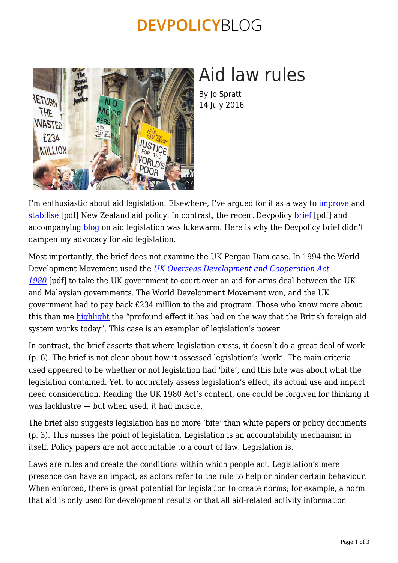## **DEVPOLICYBLOG**



# Aid law rules

By Jo Spratt 14 July 2016

I'm enthusiastic about aid legislation. Elsewhere, I've argued for it as a way to [improve](https://devpolicy.org/new-zealand-needs-a-fence-for-aid-not-aid-for-fences-20131010/) and [stabilise](https://nzadds.files.wordpress.com/2013/03/jo-spratt-steadying-the-course-commentary-03-2013.pdf) [pdf] New Zealand aid policy. In contrast, the recent Devpolicy [brief](https://devpolicy.org/publications/policy_briefs/PB14AidLaw_whatisitgoodfor.pdf) [pdf] and accompanying [blog](https://devpolicy.org/aid-law-good/) on aid legislation was lukewarm. Here is why the Devpolicy brief didn't dampen my advocacy for aid legislation.

Most importantly, the brief does not examine the UK Pergau Dam case. In 1994 the World Development Movement used the *[UK Overseas Development and Cooperation Act](http://www.legislation.gov.uk/ukpga/1980/63/pdfs/ukpga_19800063_en.pdf) [1980](http://www.legislation.gov.uk/ukpga/1980/63/pdfs/ukpga_19800063_en.pdf)* [pdf] to take the UK government to court over an aid-for-arms deal between the UK and Malaysian governments. The World Development Movement won, and the UK government had to pay back £234 million to the aid program. Those who know more about this than me [highlight](http://www.cgdev.org/blog/getting-facts-straight-pergau-dam-and-british-foreign-aid) the "profound effect it has had on the way that the British foreign aid system works today". This case is an exemplar of legislation's power.

In contrast, the brief asserts that where legislation exists, it doesn't do a great deal of work (p. 6). The brief is not clear about how it assessed legislation's 'work'. The main criteria used appeared to be whether or not legislation had 'bite', and this bite was about what the legislation contained. Yet, to accurately assess legislation's effect, its actual use and impact need consideration. Reading the UK 1980 Act's content, one could be forgiven for thinking it was lacklustre — but when used, it had muscle.

The brief also suggests legislation has no more 'bite' than white papers or policy documents (p. 3). This misses the point of legislation. Legislation is an accountability mechanism in itself. Policy papers are not accountable to a court of law. Legislation is.

Laws are rules and create the conditions within which people act. Legislation's mere presence can have an impact, as actors refer to the rule to help or hinder certain behaviour. When enforced, there is great potential for legislation to create norms; for example, a norm that aid is only used for development results or that all aid-related activity information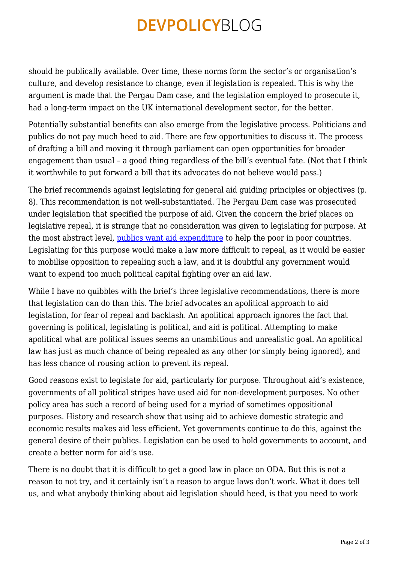## **DEVPOLICYBLOG**

should be publically available. Over time, these norms form the sector's or organisation's culture, and develop resistance to change, even if legislation is repealed. This is why the argument is made that the Pergau Dam case, and the legislation employed to prosecute it, had a long-term impact on the UK international development sector, for the better.

Potentially substantial benefits can also emerge from the legislative process. Politicians and publics do not pay much heed to aid. There are few opportunities to discuss it. The process of drafting a bill and moving it through parliament can open opportunities for broader engagement than usual – a good thing regardless of the bill's eventual fate. (Not that I think it worthwhile to put forward a bill that its advocates do not believe would pass.)

The brief recommends against legislating for general aid guiding principles or objectives (p. 8). This recommendation is not well-substantiated. The Pergau Dam case was prosecuted under legislation that specified the purpose of aid. Given the concern the brief places on legislative repeal, it is strange that no consideration was given to legislating for purpose. At the most abstract level, [publics want aid expenditure](https://devpolicy.org/what-do-australians-think-about-foreign-aid-20150903/) to help the poor in poor countries. Legislating for this purpose would make a law more difficult to repeal, as it would be easier to mobilise opposition to repealing such a law, and it is doubtful any government would want to expend too much political capital fighting over an aid law.

While I have no quibbles with the brief's three legislative recommendations, there is more that legislation can do than this. The brief advocates an apolitical approach to aid legislation, for fear of repeal and backlash. An apolitical approach ignores the fact that governing is political, legislating is political, and aid is political. Attempting to make apolitical what are political issues seems an unambitious and unrealistic goal. An apolitical law has just as much chance of being repealed as any other (or simply being ignored), and has less chance of rousing action to prevent its repeal.

Good reasons exist to legislate for aid, particularly for purpose. Throughout aid's existence, governments of all political stripes have used aid for non-development purposes. No other policy area has such a record of being used for a myriad of sometimes oppositional purposes. History and research show that using aid to achieve domestic strategic and economic results makes aid less efficient. Yet governments continue to do this, against the general desire of their publics. Legislation can be used to hold governments to account, and create a better norm for aid's use.

There is no doubt that it is difficult to get a good law in place on ODA. But this is not a reason to not try, and it certainly isn't a reason to argue laws don't work. What it does tell us, and what anybody thinking about aid legislation should heed, is that you need to work